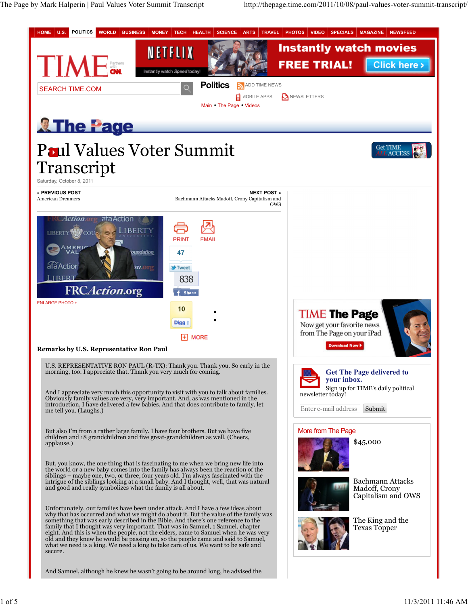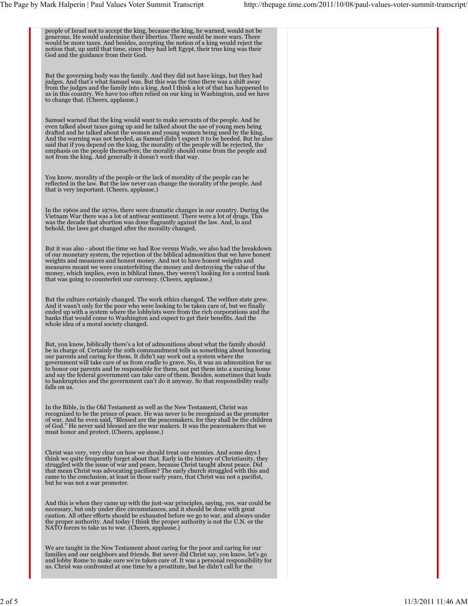| people of Israel not to accept the king, because the king, he warned, would not be<br>generous. He would undermine their liberties. There would be more wars. There<br>would be more taxes. And besides, accepting the notion of a king would reject the<br>notion that, up until that time, since they had left Egypt, their true king was their<br>God and the guidance from their God.                                                                                                                                                                                                                                            |  |
|--------------------------------------------------------------------------------------------------------------------------------------------------------------------------------------------------------------------------------------------------------------------------------------------------------------------------------------------------------------------------------------------------------------------------------------------------------------------------------------------------------------------------------------------------------------------------------------------------------------------------------------|--|
| But the governing body was the family. And they did not have kings, but they had<br>judges. And that's what Samuel was. But this was the time there was a shift away<br>from the judges and the family into a king. And I think a lot of that has happened to<br>us in this country. We have too often relied on our king in Washington, and we have<br>to change that. (Cheers, applause.)                                                                                                                                                                                                                                          |  |
| Samuel warned that the king would want to make servants of the people. And he<br>even talked about taxes going up and he talked about the use of young men being<br>drafted and he talked about the women and young women being used by the king.<br>And the warning was not heeded, as Samuel didn't expect it to be heeded. But he also<br>said that if you depend on the king, the morality of the people will be rejected, the<br>emphasis on the people themselves; the morality should come from the people and<br>not from the king. And generally it doesn't work that way.                                                  |  |
| You know, morality of the people or the lack of morality of the people can be<br>reflected in the law. But the law never can change the morality of the people. And<br>that is very important. (Cheers, applause.)                                                                                                                                                                                                                                                                                                                                                                                                                   |  |
| In the 1960s and the 1970s, there were dramatic changes in our country. During the<br>Vietnam War there was a lot of antiwar sentiment. There were a lot of drugs. This<br>was the decade that abortion was done flagrantly against the law. And, lo and<br>behold, the laws got changed after the morality changed.                                                                                                                                                                                                                                                                                                                 |  |
| But it was also - about the time we had Roe versus Wade, we also had the breakdown<br>of our monetary system, the rejection of the biblical admonition that we have honest<br>weights and measures and honest money. And not to have honest weights and<br>measures meant we were counterfeiting the money and destroying the value of the<br>money, which implies, even in biblical times, they weren't looking for a central bank<br>that was going to counterfeit our currency. (Cheers, applause.)                                                                                                                               |  |
| But the culture certainly changed. The work ethics changed. The welfare state grew.<br>And it wasn't only for the poor who were looking to be taken care of, but we finally<br>ended up with a system where the lobbyists were from the rich corporations and the<br>banks that would come to Washington and expect to get their benefits. And the<br>whole idea of a moral society changed.                                                                                                                                                                                                                                         |  |
| But, you know, biblically there's a lot of admonitions about what the family should<br>be in charge of. Certainly the 10th commandment tells us something about honoring<br>our parents and caring for them. It didn't say work out a system where the<br>government will take care of us from cradle to grave. No, it was an admonition for us<br>to honor our parents and be responsible for them, not put them into a nursing home<br>and say the federal government can take care of them. Besides, sometimes that leads<br>to bankruptcies and the government can't do it anyway. So that responsibility really<br>falls on us. |  |
| In the Bible, in the Old Testament as well as the New Testament, Christ was<br>recognized to be the prince of peace. He was never to be recognized as the promoter<br>of war. And he even said, "Blessed are the peacemakers, for they shall be the children<br>of God." He never said blessed are the war makers. It was the peacemakers that we<br>must honor and protect. (Cheers, applause.)                                                                                                                                                                                                                                     |  |
| Christ was very, very clear on how we should treat our enemies. And some days I<br>think we quite frequently forget about that. Early in the history of Christianity, they<br>struggled with the issue of war and peace, because Christ taught about peace. Did<br>that mean Christ was advocating pacifism? The early church struggled with this and<br>came to the conclusion, at least in those early years, that Christ was not a pacifist,<br>but he was not a war promoter.                                                                                                                                                    |  |
| And this is when they came up with the just-war principles, saying, yes, war could be<br>necessary, but only under dire circumstances, and it should be done with great<br>caution. All other efforts should be exhausted before we go to war, and always under<br>the proper authority. And today I think the proper authority is not the U.N. or the<br>NATO forces to take us to war. (Cheers, applause.)                                                                                                                                                                                                                         |  |
| We are taught in the New Testament about caring for the poor and caring for our<br>families and our neighbors and friends. But never did Christ say, you know, let's go<br>and lobby Rome to make sure we're taken care of. It was a personal responsibility for<br>us. Christ was confronted at one time by a prostitute, but he didn't call for the                                                                                                                                                                                                                                                                                |  |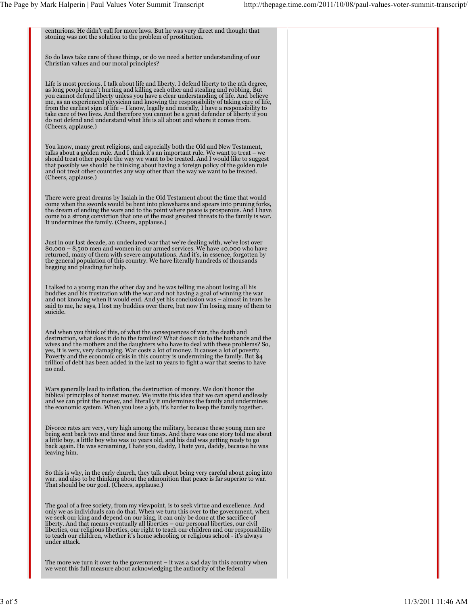centurions. He didn't call for more laws. But he was very direct and thought that stoning was not the solution to the problem of prostitution.

So do laws take care of these things, or do we need a better understanding of our Christian values and our moral principles?

Life is most precious. I talk about life and liberty. I defend liberty to the nth degree, as long people aren't hurting and killing each other and stealing and robbing. But you cannot defend liberty unless you have a clear understanding of life. And believe me, as an experienced physician and knowing the responsibility of taking care of life, from the earliest sign of life – I know, legally and morally, I have a responsibility to take care of two lives. And therefore you cannot be a great defender of liberty if you do not defend and understand what life is all about and where it comes from. (Cheers, applause.)

You know, many great religions, and especially both the Old and New Testament, talks about a golden rule. And I think it's an important rule. We want to treat – we should treat other people the way we want to be treated. And I would like to suggest that possibly we should be thinking about having a foreign policy of the golden rule and not treat other countries any way other than the way we want to be treated. (Cheers, applause.)

There were great dreams by Isaiah in the Old Testament about the time that would come when the swords would be bent into plowshares and spears into pruning forks, the dream of ending the wars and to the point where peace is prosperous. And I have come to a strong conviction that one of the most greatest threats to the family is war. It undermines the family. (Cheers, applause.)

Just in our last decade, an undeclared war that we're dealing with, we've lost over<br>80,000 – 8,500 men and women in our armed services. We have 40,000 who have<br>returned, many of them with severe amputations. And it's, in e begging and pleading for help.

I talked to a young man the other day and he was telling me about losing all his<br>buddies and his frustration with the war and not having a goal of winning the war<br>and not knowing when it would end. And yet his conclusion w said to me, he says, I lost my buddies over there, but now I'm losing many of them to suicide.

And when you think of this, of what the consequences of war, the death and<br>destruction, what does it do to the families? What does it do to the husbands and the<br>wives and the mothers and the daughters who have to deal with yes, it is very, very damaging. War costs a lot of money. It causes a lot of poverty. Poverty and the economic crisis in this country is undermining the family. But \$4 trillion of debt has been added in the last 10 years to fight a war that seems to have no end.

Wars generally lead to inflation, the destruction of money. We don't honor the biblical principles of honest money. We invite this idea that we can spend endlessly and we can print the money, and literally it undermines the family and undermines the economic system. When you lose a job, it's harder to keep the family together.

Divorce rates are very, very high among the military, because these young men are being sent back two and three and four times. And there was one story told me about a little boy, a little boy who was 10 years old, and his dad was getting ready to go back again. He was screaming, I hate you, daddy, I hate you, daddy, because he was leaving him.

So this is why, in the early church, they talk about being very careful about going into war, and also to be thinking about the admonition that peace is far superior to war. That should be our goal. (Cheers, applause.)

The goal of a free society, from my viewpoint, is to seek virtue and excellence. And only we as individuals can do that. When we turn this over to the government, when<br>we seek our king and depend on our king, it can only be done at the sacrifice of<br>liberty. And that means eventually all liberties – our per to teach our children, whether it's home schooling or religious school - it's always under attack.

The more we turn it over to the government – it was a sad day in this country when we went this full measure about acknowledging the authority of the federal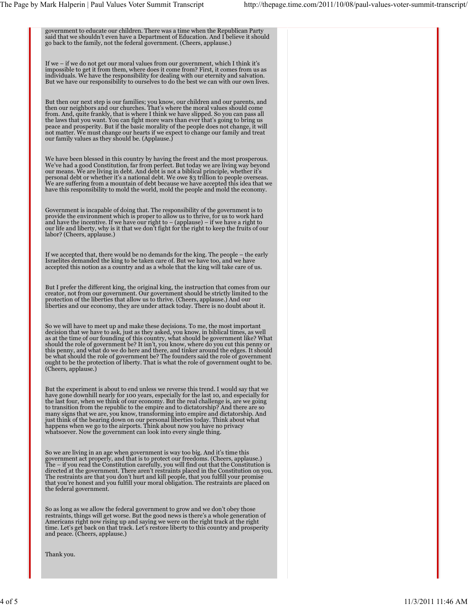government to educate our children. There was a time when the Republican Party said that we shouldn't even have a Department of Education. And I believe it should go back to the family, not the federal government. (Cheers, applause.) If we – if we do not get our moral values from our government, which I think it's impossible to get it from them, where does it come from? First, it comes from us as individuals. We have the responsibility for dealing with our eternity and salvation. But we have our responsibility to ourselves to do the best we can with our own lives. But then our next step is our families; you know, our children and our parents, and then our neighbors and our churches. That's where the moral values should come from. And, quite frankly, that is where I think we have slipped. So you can pass all the laws that you want. You can fight more wars than ever that's going to bring us peace and prosperity. But if the basic morality of the people does not change, it will not matter. We must change our hearts if we expect to change our family and treat our family values as they should be. (Applause.) We have been blessed in this country by having the freest and the most prosperous. We've had a good Constitution, far from perfect. But today we are living way beyond our means. We are living in debt. And debt is not a biblical principle, whether it's personal debt or whether it's a national debt. We owe \$3 trillion to people overseas. We are suffering from a mountain of debt because we have accepted this idea that we have this responsibility to mold the world, mold the people and mold the economy. Government is incapable of doing that. The responsibility of the government is to<br>provide the environment which is proper to allow us to thrive, for us to work hard<br>and have the incentive. If we have our right to – (applau our life and liberty, why is it that we don't fight for the right to keep the fruits of our labor? (Cheers, applause.) If we accepted that, there would be no demands for the king. The people – the early Israelites demanded the king to be taken care of. But we have too, and we have accepted this notion as a country and as a whole that the king will take care of us. But I prefer the different king, the original king, the instruction that comes from our<br>creator, not from our government. Our government should be strictly limited to the<br>protection of the liberties that allow us to thrive liberties and our economy, they are under attack today. There is no doubt about it. So we will have to meet up and make these decisions. To me, the most important<br>decision that we have to ask, just as they asked, you know, in biblical times, as well<br>as at the time of our founding of this country, what sho this penny, and what do we do here and there, and tinker around the edges. It should be what should the role of government be? The founders said the role of government ought to be the protection of liberty. That is what the role of government ought to be. (Cheers, applause.) But the experiment is about to end unless we reverse this trend. I would say that we have gone downhill nearly for 100 years, especially for the last 10, and especially for the last four, when we think of our economy. But the real challenge is, are we going to transition from the republic to the empire and to dictatorship? And there are so many signs that we are, you know, transforming into empire and dictatorship. And<br>just think of the bearing down on our personal liberties today. Think about what<br>happens when we go to the airports. Think about now you have So we are living in an age when government is way too big. And it's time this<br>government act properly, and that is to protect our freedoms. (Cheers, applause.)<br>The – if you read the Constitution carefully, you will find ou The restraints are that you don't hurt and kill people, that you fulfill your promise that you're honest and you fulfill your moral obligation. The restraints are placed on the federal government. So as long as we allow the federal government to grow and we don't obey those restraints, things will get worse. But the good news is there's a whole generation of<br>Americans right now rising up and saying we were on the right track at the right<br>time. Let's get back on that track. Let's restore liber Thank you.